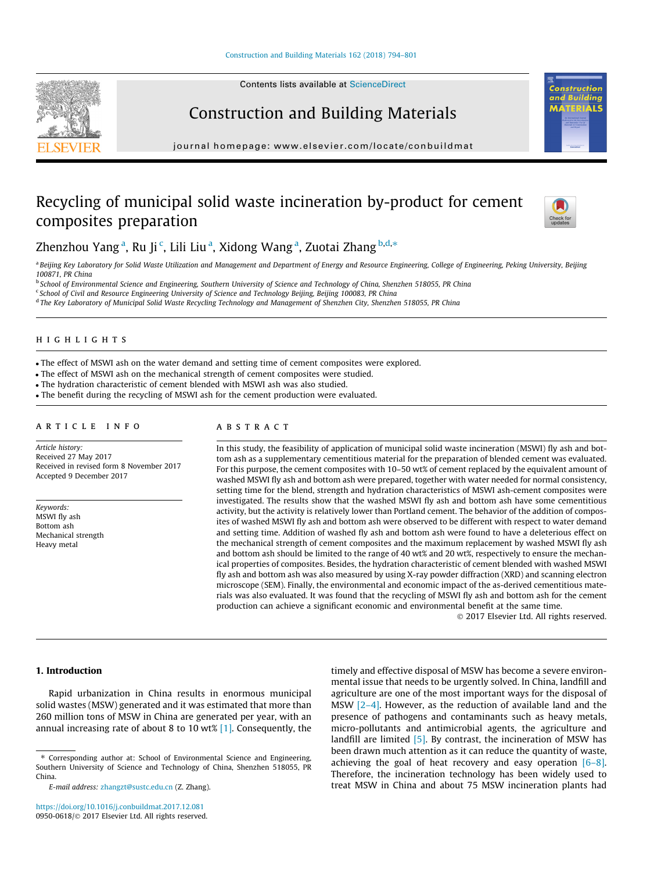Contents lists available at [ScienceDirect](http://www.sciencedirect.com/science/journal/09500618)

## Construction and Building Materials

journal homepage: [www.elsevier.com/locate/conbuildmat](http://www.elsevier.com/locate/conbuildmat)

## Recycling of municipal solid waste incineration by-product for cement composites preparation



Construction and

lding ΠŚ

Zhenzhou Yang<sup>a</sup>, Ru Ji <sup>c</sup>, Lili Liu <sup>a</sup>, Xidong Wang <sup>a</sup>, Zuotai Zhang <sup>b,d,</sup>\*

a Beijing Key Laboratory for Solid Waste Utilization and Management and Department of Energy and Resource Engineering, College of Engineering, Peking University, Beijing 100871, PR China

<sup>b</sup> School of Environmental Science and Engineering, Southern University of Science and Technology of China, Shenzhen 518055, PR China

<sup>c</sup> School of Civil and Resource Engineering University of Science and Technology Beijing, Beijing 100083, PR China

<sup>d</sup> The Key Laboratory of Municipal Solid Waste Recycling Technology and Management of Shenzhen City, Shenzhen 518055, PR China

## highlights and the state of the state of the state of the state of the state of the state of the state of the

The effect of MSWI ash on the water demand and setting time of cement composites were explored.

- The effect of MSWI ash on the mechanical strength of cement composites were studied.
- The hydration characteristic of cement blended with MSWI ash was also studied.

The benefit during the recycling of MSWI ash for the cement production were evaluated.

### ARTICLE INFO

Article history: Received 27 May 2017 Received in revised form 8 November 2017 Accepted 9 December 2017

Keywords: MSWI fly ash Bottom ash Mechanical strength Heavy metal

In this study, the feasibility of application of municipal solid waste incineration (MSWI) fly ash and bottom ash as a supplementary cementitious material for the preparation of blended cement was evaluated. For this purpose, the cement composites with 10–50 wt% of cement replaced by the equivalent amount of washed MSWI fly ash and bottom ash were prepared, together with water needed for normal consistency, setting time for the blend, strength and hydration characteristics of MSWI ash-cement composites were investigated. The results show that the washed MSWI fly ash and bottom ash have some cementitious activity, but the activity is relatively lower than Portland cement. The behavior of the addition of composites of washed MSWI fly ash and bottom ash were observed to be different with respect to water demand and setting time. Addition of washed fly ash and bottom ash were found to have a deleterious effect on the mechanical strength of cement composites and the maximum replacement by washed MSWI fly ash and bottom ash should be limited to the range of 40 wt% and 20 wt%, respectively to ensure the mechanical properties of composites. Besides, the hydration characteristic of cement blended with washed MSWI fly ash and bottom ash was also measured by using X-ray powder diffraction (XRD) and scanning electron microscope (SEM). Finally, the environmental and economic impact of the as-derived cementitious materials was also evaluated. It was found that the recycling of MSWI fly ash and bottom ash for the cement production can achieve a significant economic and environmental benefit at the same time.

2017 Elsevier Ltd. All rights reserved.

#### 1. Introduction

Rapid urbanization in China results in enormous municipal solid wastes (MSW) generated and it was estimated that more than 260 million tons of MSW in China are generated per year, with an annual increasing rate of about 8 to 10 wt% [\[1\]](#page--1-0). Consequently, the

<https://doi.org/10.1016/j.conbuildmat.2017.12.081> 0950-0618/© 2017 Elsevier Ltd. All rights reserved. timely and effective disposal of MSW has become a severe environmental issue that needs to be urgently solved. In China, landfill and agriculture are one of the most important ways for the disposal of MSW [\[2–4\].](#page--1-0) However, as the reduction of available land and the presence of pathogens and contaminants such as heavy metals, micro-pollutants and antimicrobial agents, the agriculture and landfill are limited [\[5\].](#page--1-0) By contrast, the incineration of MSW has been drawn much attention as it can reduce the quantity of waste, achieving the goal of heat recovery and easy operation  $[6-8]$ . Therefore, the incineration technology has been widely used to treat MSW in China and about 75 MSW incineration plants had

<sup>⇑</sup> Corresponding author at: School of Environmental Science and Engineering, Southern University of Science and Technology of China, Shenzhen 518055, PR China.

E-mail address: [zhangzt@sustc.edu.cn](mailto:zhangzt@sustc.edu.cn) (Z. Zhang).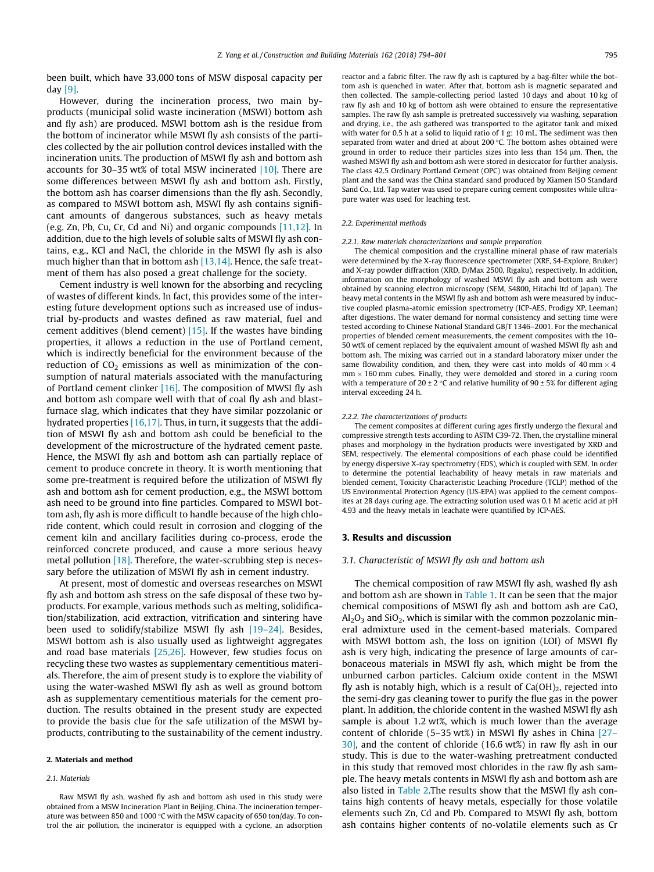been built, which have 33,000 tons of MSW disposal capacity per day [\[9\].](#page--1-0)

However, during the incineration process, two main byproducts (municipal solid waste incineration (MSWI) bottom ash and fly ash) are produced. MSWI bottom ash is the residue from the bottom of incinerator while MSWI fly ash consists of the particles collected by the air pollution control devices installed with the incineration units. The production of MSWI fly ash and bottom ash accounts for 30–35 wt% of total MSW incinerated  $[10]$ . There are some differences between MSWI fly ash and bottom ash. Firstly, the bottom ash has coarser dimensions than the fly ash. Secondly, as compared to MSWI bottom ash, MSWI fly ash contains significant amounts of dangerous substances, such as heavy metals (e.g. Zn, Pb, Cu, Cr, Cd and Ni) and organic compounds [\[11,12\]](#page--1-0). In addition, due to the high levels of soluble salts of MSWI fly ash contains, e.g., KCl and NaCl, the chloride in the MSWI fly ash is also much higher than that in bottom ash [\[13,14\].](#page--1-0) Hence, the safe treatment of them has also posed a great challenge for the society.

Cement industry is well known for the absorbing and recycling of wastes of different kinds. In fact, this provides some of the interesting future development options such as increased use of industrial by-products and wastes defined as raw material, fuel and cement additives (blend cement) [\[15\]](#page--1-0). If the wastes have binding properties, it allows a reduction in the use of Portland cement, which is indirectly beneficial for the environment because of the reduction of  $CO<sub>2</sub>$  emissions as well as minimization of the consumption of natural materials associated with the manufacturing of Portland cement clinker  $[16]$ . The composition of MWSI fly ash and bottom ash compare well with that of coal fly ash and blastfurnace slag, which indicates that they have similar pozzolanic or hydrated properties [\[16,17\].](#page--1-0) Thus, in turn, it suggests that the addition of MSWI fly ash and bottom ash could be beneficial to the development of the microstructure of the hydrated cement paste. Hence, the MSWI fly ash and bottom ash can partially replace of cement to produce concrete in theory. It is worth mentioning that some pre-treatment is required before the utilization of MSWI fly ash and bottom ash for cement production, e.g., the MSWI bottom ash need to be ground into fine particles. Compared to MSWI bottom ash, fly ash is more difficult to handle because of the high chloride content, which could result in corrosion and clogging of the cement kiln and ancillary facilities during co-process, erode the reinforced concrete produced, and cause a more serious heavy metal pollution [\[18\].](#page--1-0) Therefore, the water-scrubbing step is necessary before the utilization of MSWI fly ash in cement industry.

At present, most of domestic and overseas researches on MSWI fly ash and bottom ash stress on the safe disposal of these two byproducts. For example, various methods such as melting, solidification/stabilization, acid extraction, vitrification and sintering have been used to solidify/stabilize MSWI fly ash  $[19-24]$ . Besides, MSWI bottom ash is also usually used as lightweight aggregates and road base materials  $[25,26]$ . However, few studies focus on recycling these two wastes as supplementary cementitious materials. Therefore, the aim of present study is to explore the viability of using the water-washed MSWI fly ash as well as ground bottom ash as supplementary cementitious materials for the cement production. The results obtained in the present study are expected to provide the basis clue for the safe utilization of the MSWI byproducts, contributing to the sustainability of the cement industry.

#### 2. Materials and method

#### 2.1. Materials

Raw MSWI fly ash, washed fly ash and bottom ash used in this study were obtained from a MSW Incineration Plant in Beijing, China. The incineration temperature was between 850 and 1000 °C with the MSW capacity of 650 ton/day. To control the air pollution, the incinerator is equipped with a cyclone, an adsorption reactor and a fabric filter. The raw fly ash is captured by a bag-filter while the bottom ash is quenched in water. After that, bottom ash is magnetic separated and then collected. The sample-collecting period lasted 10 days and about 10 kg of raw fly ash and 10 kg of bottom ash were obtained to ensure the representative samples. The raw fly ash sample is pretreated successively via washing, separation and drying, i.e., the ash gathered was transported to the agitator tank and mixed with water for 0.5 h at a solid to liquid ratio of 1 g: 10 mL. The sediment was then separated from water and dried at about 200  $°C$ . The bottom ashes obtained were ground in order to reduce their particles sizes into less than 154 um. Then, the washed MSWI fly ash and bottom ash were stored in desiccator for further analysis. The class 42.5 Ordinary Portland Cement (OPC) was obtained from Beijing cement plant and the sand was the China standard sand produced by Xiamen ISO Standard Sand Co., Ltd. Tap water was used to prepare curing cement composites while ultrapure water was used for leaching test.

#### 2.2. Experimental methods

#### 2.2.1. Raw materials characterizations and sample preparation

The chemical composition and the crystalline mineral phase of raw materials were determined by the X-ray fluorescence spectrometer (XRF, S4-Explore, Bruker) and X-ray powder diffraction (XRD, D/Max 2500, Rigaku), respectively. In addition, information on the morphology of washed MSWI fly ash and bottom ash were obtained by scanning electron microscopy (SEM, S4800, Hitachi ltd of Japan). The heavy metal contents in the MSWI fly ash and bottom ash were measured by inductive coupled plasma-atomic emission spectrometry (ICP-AES, Prodigy XP, Leeman) after digestions. The water demand for normal consistency and setting time were tested according to Chinese National Standard GB/T 1346–2001. For the mechanical properties of blended cement measurements, the cement composites with the 10– 50 wt% of cement replaced by the equivalent amount of washed MSWI fly ash and bottom ash. The mixing was carried out in a standard laboratory mixer under the same flowability condition, and then, they were cast into molds of 40 mm  $\times$  4  $mm \times 160$  mm cubes. Finally, they were demolded and stored in a curing room with a temperature of  $20 \pm 2$  °C and relative humility of  $90 \pm 5$ % for different aging interval exceeding 24 h.

#### 2.2.2. The characterizations of products

The cement composites at different curing ages firstly undergo the flexural and compressive strength tests according to ASTM C39-72. Then, the crystalline mineral phases and morphology in the hydration products were investigated by XRD and SEM, respectively. The elemental compositions of each phase could be identified by energy dispersive X-ray spectrometry (EDS), which is coupled with SEM. In order to determine the potential leachability of heavy metals in raw materials and blended cement, Toxicity Characteristic Leaching Procedure (TCLP) method of the US Environmental Protection Agency (US-EPA) was applied to the cement composites at 28 days curing age. The extracting solution used was 0.1 M acetic acid at pH 4.93 and the heavy metals in leachate were quantified by ICP-AES.

#### 3. Results and discussion

### 3.1. Characteristic of MSWI fly ash and bottom ash

The chemical composition of raw MSWI fly ash, washed fly ash and bottom ash are shown in [Table 1.](#page--1-0) It can be seen that the major chemical compositions of MSWI fly ash and bottom ash are CaO,  $Al_2O_3$  and SiO<sub>2</sub>, which is similar with the common pozzolanic mineral admixture used in the cement-based materials. Compared with MSWI bottom ash, the loss on ignition (LOI) of MSWI fly ash is very high, indicating the presence of large amounts of carbonaceous materials in MSWI fly ash, which might be from the unburned carbon particles. Calcium oxide content in the MSWI fly ash is notably high, which is a result of  $Ca(OH)_2$ , rejected into the semi-dry gas cleaning tower to purify the flue gas in the power plant. In addition, the chloride content in the washed MSWI fly ash sample is about 1.2 wt%, which is much lower than the average content of chloride (5–35 wt%) in MSWI fly ashes in China [\[27–](#page--1-0) [30\],](#page--1-0) and the content of chloride (16.6 wt%) in raw fly ash in our study. This is due to the water-washing pretreatment conducted in this study that removed most chlorides in the raw fly ash sample. The heavy metals contents in MSWI fly ash and bottom ash are also listed in [Table 2](#page--1-0).The results show that the MSWI fly ash contains high contents of heavy metals, especially for those volatile elements such Zn, Cd and Pb. Compared to MSWI fly ash, bottom ash contains higher contents of no-volatile elements such as Cr